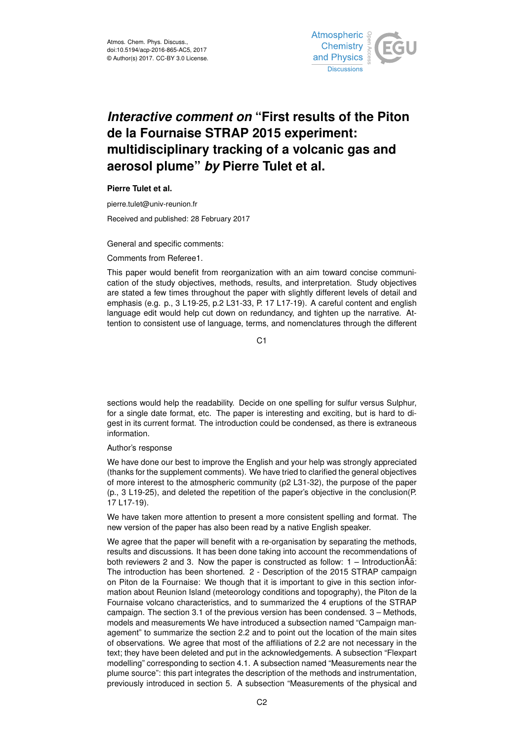

# *Interactive comment on* **"First results of the Piton de la Fournaise STRAP 2015 experiment: multidisciplinary tracking of a volcanic gas and aerosol plume"** *by* **Pierre Tulet et al.**

**Pierre Tulet et al.**

pierre.tulet@univ-reunion.fr

Received and published: 28 February 2017

General and specific comments:

Comments from Referee1.

This paper would benefit from reorganization with an aim toward concise communication of the study objectives, methods, results, and interpretation. Study objectives are stated a few times throughout the paper with slightly different levels of detail and emphasis (e.g. p., 3 L19-25, p.2 L31-33, P. 17 L17-19). A careful content and english language edit would help cut down on redundancy, and tighten up the narrative. Attention to consistent use of language, terms, and nomenclatures through the different

 $C<sub>1</sub>$ 

sections would help the readability. Decide on one spelling for sulfur versus Sulphur, for a single date format, etc. The paper is interesting and exciting, but is hard to digest in its current format. The introduction could be condensed, as there is extraneous information.

Author's response

We have done our best to improve the English and your help was strongly appreciated (thanks for the supplement comments). We have tried to clarified the general objectives of more interest to the atmospheric community (p2 L31-32), the purpose of the paper (p., 3 L19-25), and deleted the repetition of the paper's objective in the conclusion(P. 17 L17-19).

We have taken more attention to present a more consistent spelling and format. The new version of the paper has also been read by a native English speaker.

We agree that the paper will benefit with a re-organisation by separating the methods, results and discussions. It has been done taking into account the recommendations of both reviewers 2 and 3. Now the paper is constructed as follow:  $1 -$  Introduction $\hat{A}$ a: The introduction has been shortened. 2 - Description of the 2015 STRAP campaign on Piton de la Fournaise: We though that it is important to give in this section information about Reunion Island (meteorology conditions and topography), the Piton de la Fournaise volcano characteristics, and to summarized the 4 eruptions of the STRAP campaign. The section 3.1 of the previous version has been condensed. 3 – Methods, models and measurements We have introduced a subsection named "Campaign management" to summarize the section 2.2 and to point out the location of the main sites of observations. We agree that most of the affiliations of 2.2 are not necessary in the text; they have been deleted and put in the acknowledgements. A subsection "Flexpart modelling" corresponding to section 4.1. A subsection named "Measurements near the plume source": this part integrates the description of the methods and instrumentation, previously introduced in section 5. A subsection "Measurements of the physical and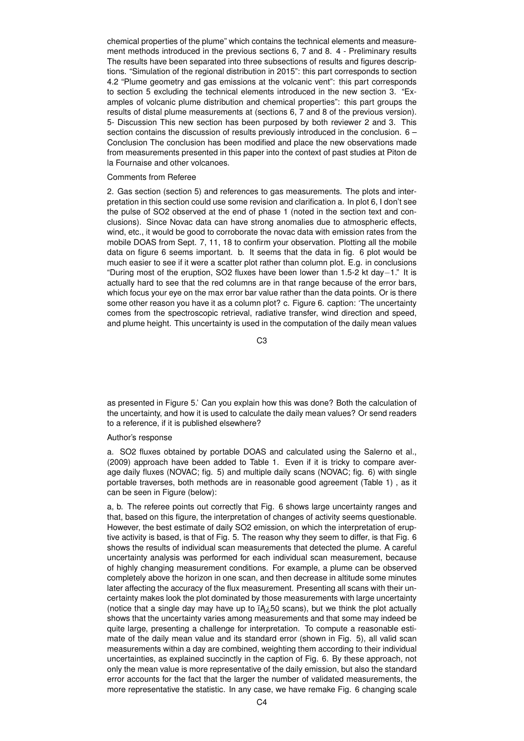chemical properties of the plume" which contains the technical elements and measurement methods introduced in the previous sections 6, 7 and 8. 4 - Preliminary results The results have been separated into three subsections of results and figures descriptions. "Simulation of the regional distribution in 2015": this part corresponds to section 4.2 "Plume geometry and gas emissions at the volcanic vent": this part corresponds to section 5 excluding the technical elements introduced in the new section 3. "Examples of volcanic plume distribution and chemical properties": this part groups the results of distal plume measurements at (sections 6, 7 and 8 of the previous version). 5- Discussion This new section has been purposed by both reviewer 2 and 3. This section contains the discussion of results previously introduced in the conclusion. 6 – Conclusion The conclusion has been modified and place the new observations made from measurements presented in this paper into the context of past studies at Piton de la Fournaise and other volcanoes.

# Comments from Referee

2. Gas section (section 5) and references to gas measurements. The plots and interpretation in this section could use some revision and clarification a. In plot 6, I don't see the pulse of SO2 observed at the end of phase 1 (noted in the section text and conclusions). Since Novac data can have strong anomalies due to atmospheric effects, wind, etc., it would be good to corroborate the novac data with emission rates from the mobile DOAS from Sept. 7, 11, 18 to confirm your observation. Plotting all the mobile data on figure 6 seems important. b. It seems that the data in fig. 6 plot would be much easier to see if it were a scatter plot rather than column plot. E.g. in conclusions "During most of the eruption, SO2 fluxes have been lower than 1.5-2 kt day−1." It is actually hard to see that the red columns are in that range because of the error bars, which focus your eye on the max error bar value rather than the data points. Or is there some other reason you have it as a column plot? c. Figure 6. caption: 'The uncertainty comes from the spectroscopic retrieval, radiative transfer, wind direction and speed, and plume height. This uncertainty is used in the computation of the daily mean values

C3

as presented in Figure 5.' Can you explain how this was done? Both the calculation of the uncertainty, and how it is used to calculate the daily mean values? Or send readers to a reference, if it is published elsewhere?

# Author's response

a. SO2 fluxes obtained by portable DOAS and calculated using the Salerno et al., (2009) approach have been added to Table 1. Even if it is tricky to compare average daily fluxes (NOVAC; fig. 5) and multiple daily scans (NOVAC; fig. 6) with single portable traverses, both methods are in reasonable good agreement (Table 1) , as it can be seen in Figure (below):

a, b. The referee points out correctly that Fig. 6 shows large uncertainty ranges and that, based on this figure, the interpretation of changes of activity seems questionable. However, the best estimate of daily SO2 emission, on which the interpretation of eruptive activity is based, is that of Fig. 5. The reason why they seem to differ, is that Fig. 6 shows the results of individual scan measurements that detected the plume. A careful uncertainty analysis was performed for each individual scan measurement, because of highly changing measurement conditions. For example, a plume can be observed completely above the horizon in one scan, and then decrease in altitude some minutes later affecting the accuracy of the flux measurement. Presenting all scans with their uncertainty makes look the plot dominated by those measurements with large uncertainty (notice that a single day may have up to  $iA\lambda$ 50 scans), but we think the plot actually shows that the uncertainty varies among measurements and that some may indeed be quite large, presenting a challenge for interpretation. To compute a reasonable estimate of the daily mean value and its standard error (shown in Fig. 5), all valid scan measurements within a day are combined, weighting them according to their individual uncertainties, as explained succinctly in the caption of Fig. 6. By these approach, not only the mean value is more representative of the daily emission, but also the standard error accounts for the fact that the larger the number of validated measurements, the more representative the statistic. In any case, we have remake Fig. 6 changing scale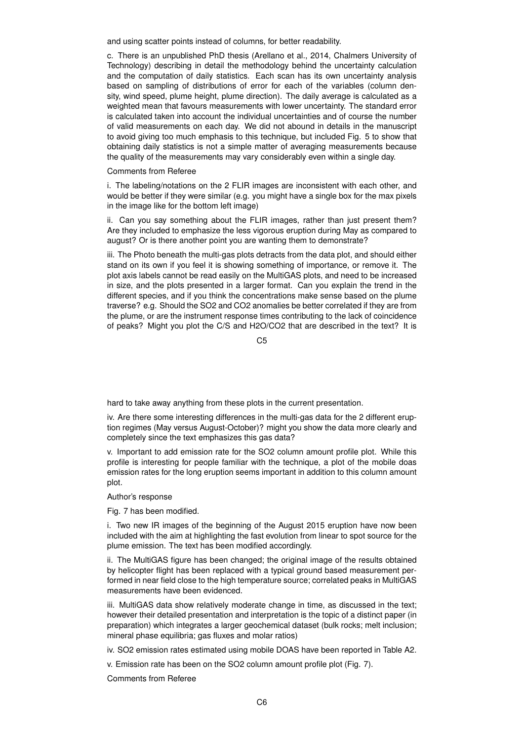and using scatter points instead of columns, for better readability.

c. There is an unpublished PhD thesis (Arellano et al., 2014, Chalmers University of Technology) describing in detail the methodology behind the uncertainty calculation and the computation of daily statistics. Each scan has its own uncertainty analysis based on sampling of distributions of error for each of the variables (column density, wind speed, plume height, plume direction). The daily average is calculated as a weighted mean that favours measurements with lower uncertainty. The standard error is calculated taken into account the individual uncertainties and of course the number of valid measurements on each day. We did not abound in details in the manuscript to avoid giving too much emphasis to this technique, but included Fig. 5 to show that obtaining daily statistics is not a simple matter of averaging measurements because the quality of the measurements may vary considerably even within a single day.

# Comments from Referee

i. The labeling/notations on the 2 FLIR images are inconsistent with each other, and would be better if they were similar (e.g. you might have a single box for the max pixels in the image like for the bottom left image)

ii. Can you say something about the FLIR images, rather than just present them? Are they included to emphasize the less vigorous eruption during May as compared to august? Or is there another point you are wanting them to demonstrate?

iii. The Photo beneath the multi-gas plots detracts from the data plot, and should either stand on its own if you feel it is showing something of importance, or remove it. The plot axis labels cannot be read easily on the MultiGAS plots, and need to be increased in size, and the plots presented in a larger format. Can you explain the trend in the different species, and if you think the concentrations make sense based on the plume traverse? e.g. Should the SO2 and CO2 anomalies be better correlated if they are from the plume, or are the instrument response times contributing to the lack of coincidence of peaks? Might you plot the C/S and H2O/CO2 that are described in the text? It is

 $C<sub>5</sub>$ 

hard to take away anything from these plots in the current presentation.

iv. Are there some interesting differences in the multi-gas data for the 2 different eruption regimes (May versus August-October)? might you show the data more clearly and completely since the text emphasizes this gas data?

v. Important to add emission rate for the SO2 column amount profile plot. While this profile is interesting for people familiar with the technique, a plot of the mobile doas emission rates for the long eruption seems important in addition to this column amount plot.

# Author's response

Fig. 7 has been modified.

i. Two new IR images of the beginning of the August 2015 eruption have now been included with the aim at highlighting the fast evolution from linear to spot source for the plume emission. The text has been modified accordingly.

ii. The MultiGAS figure has been changed; the original image of the results obtained by helicopter flight has been replaced with a typical ground based measurement performed in near field close to the high temperature source; correlated peaks in MultiGAS measurements have been evidenced.

iii. MultiGAS data show relatively moderate change in time, as discussed in the text; however their detailed presentation and interpretation is the topic of a distinct paper (in preparation) which integrates a larger geochemical dataset (bulk rocks; melt inclusion; mineral phase equilibria; gas fluxes and molar ratios)

iv. SO2 emission rates estimated using mobile DOAS have been reported in Table A2.

v. Emission rate has been on the SO2 column amount profile plot (Fig. 7).

Comments from Referee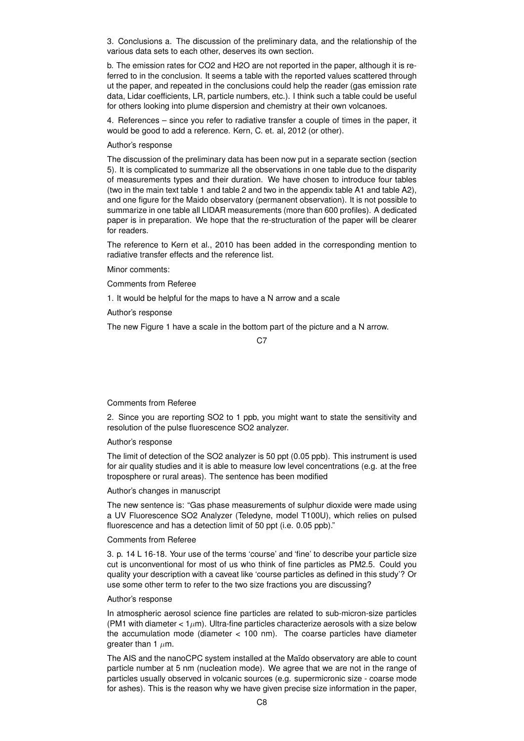3. Conclusions a. The discussion of the preliminary data, and the relationship of the various data sets to each other, deserves its own section.

b. The emission rates for CO2 and H2O are not reported in the paper, although it is referred to in the conclusion. It seems a table with the reported values scattered through ut the paper, and repeated in the conclusions could help the reader (gas emission rate data, Lidar coefficients, LR, particle numbers, etc.). I think such a table could be useful for others looking into plume dispersion and chemistry at their own volcanoes.

4. References – since you refer to radiative transfer a couple of times in the paper, it would be good to add a reference. Kern, C. et. al, 2012 (or other).

# Author's response

The discussion of the preliminary data has been now put in a separate section (section 5). It is complicated to summarize all the observations in one table due to the disparity of measurements types and their duration. We have chosen to introduce four tables (two in the main text table 1 and table 2 and two in the appendix table A1 and table A2), and one figure for the Maido observatory (permanent observation). It is not possible to summarize in one table all LIDAR measurements (more than 600 profiles). A dedicated paper is in preparation. We hope that the re-structuration of the paper will be clearer for readers.

The reference to Kern et al., 2010 has been added in the corresponding mention to radiative transfer effects and the reference list.

Minor comments:

Comments from Referee

1. It would be helpful for the maps to have a N arrow and a scale

Author's response

The new Figure 1 have a scale in the bottom part of the picture and a N arrow.

#### C<sub>7</sub>

# Comments from Referee

2. Since you are reporting SO2 to 1 ppb, you might want to state the sensitivity and resolution of the pulse fluorescence SO2 analyzer.

Author's response

The limit of detection of the SO2 analyzer is 50 ppt (0.05 ppb). This instrument is used for air quality studies and it is able to measure low level concentrations (e.g. at the free troposphere or rural areas). The sentence has been modified

Author's changes in manuscript

The new sentence is: "Gas phase measurements of sulphur dioxide were made using a UV Fluorescence SO2 Analyzer (Teledyne, model T100U), which relies on pulsed fluorescence and has a detection limit of 50 ppt (i.e. 0.05 ppb)."

#### Comments from Referee

3. p. 14 L 16-18. Your use of the terms 'course' and 'fine' to describe your particle size cut is unconventional for most of us who think of fine particles as PM2.5. Could you quality your description with a caveat like 'course particles as defined in this study'? Or use some other term to refer to the two size fractions you are discussing?

#### Author's response

In atmospheric aerosol science fine particles are related to sub-micron-size particles (PM1 with diameter  $< 1 \mu m$ ). Ultra-fine particles characterize aerosols with a size below the accumulation mode (diameter < 100 nm). The coarse particles have diameter greater than 1  $\mu$ m.

The AIS and the nanoCPC system installed at the Maïdo observatory are able to count particle number at 5 nm (nucleation mode). We agree that we are not in the range of particles usually observed in volcanic sources (e.g. supermicronic size - coarse mode for ashes). This is the reason why we have given precise size information in the paper,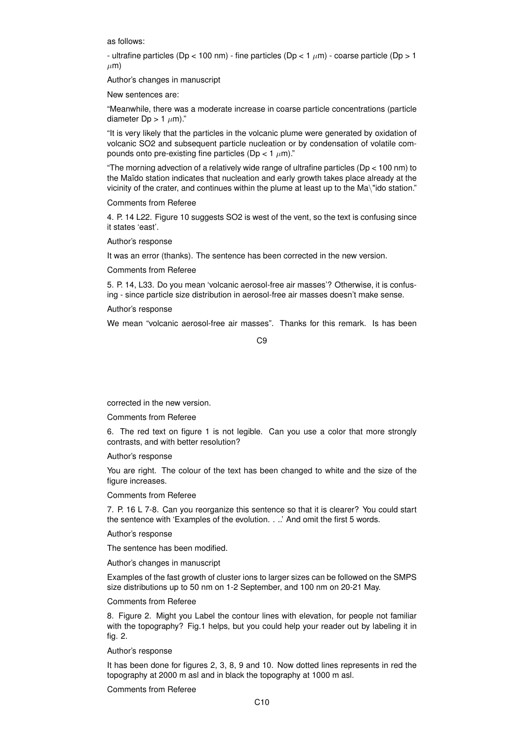as follows:

- ultrafine particles (Dp < 100 nm) - fine particles (Dp < 1  $\mu$ m) - coarse particle (Dp > 1  $\mu$ m)

Author's changes in manuscript

New sentences are:

"Meanwhile, there was a moderate increase in coarse particle concentrations (particle diameter Dp > 1  $\mu$ m)."

"It is very likely that the particles in the volcanic plume were generated by oxidation of volcanic SO2 and subsequent particle nucleation or by condensation of volatile compounds onto pre-existing fine particles (Dp <  $1 \mu$ m)."

"The morning advection of a relatively wide range of ultrafine particles (Dp < 100 nm) to the Maïdo station indicates that nucleation and early growth takes place already at the vicinity of the crater, and continues within the plume at least up to the Ma\"ido station."

Comments from Referee

4. P. 14 L22. Figure 10 suggests SO2 is west of the vent, so the text is confusing since it states 'east'.

Author's response

It was an error (thanks). The sentence has been corrected in the new version.

Comments from Referee

5. P. 14, L33. Do you mean 'volcanic aerosol-free air masses'? Otherwise, it is confusing - since particle size distribution in aerosol-free air masses doesn't make sense.

Author's response

We mean "volcanic aerosol-free air masses". Thanks for this remark. Is has been

C9

corrected in the new version.

Comments from Referee

6. The red text on figure 1 is not legible. Can you use a color that more strongly contrasts, and with better resolution?

Author's response

You are right. The colour of the text has been changed to white and the size of the figure increases.

Comments from Referee

7. P. 16 L 7-8. Can you reorganize this sentence so that it is clearer? You could start the sentence with 'Examples of the evolution. . ..' And omit the first 5 words.

Author's response

The sentence has been modified.

Author's changes in manuscript

Examples of the fast growth of cluster ions to larger sizes can be followed on the SMPS size distributions up to 50 nm on 1-2 September, and 100 nm on 20-21 May.

Comments from Referee

8. Figure 2. Might you Label the contour lines with elevation, for people not familiar with the topography? Fig.1 helps, but you could help your reader out by labeling it in fig. 2.

Author's response

It has been done for figures 2, 3, 8, 9 and 10. Now dotted lines represents in red the topography at 2000 m asl and in black the topography at 1000 m asl.

Comments from Referee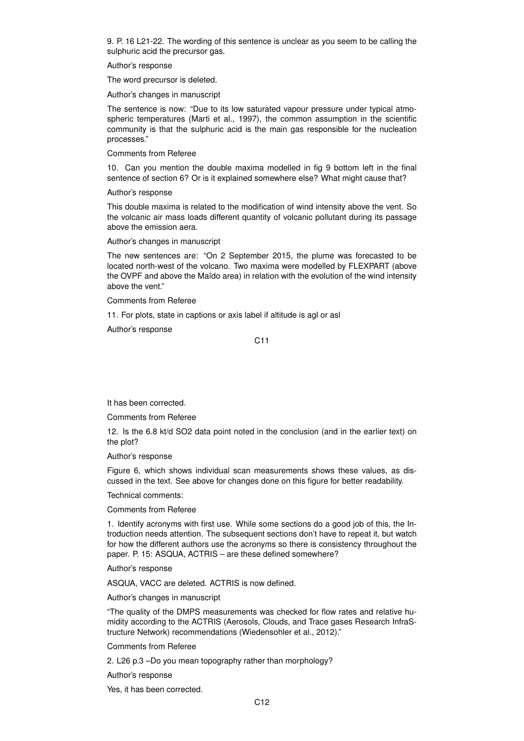9. P. 16 L21-22. The wording of this sentence is unclear as you seem to be calling the sulphuric acid the precursor gas.

#### Author's response

The word precursor is deleted.

Author's changes in manuscript

The sentence is now: "Due to its low saturated vapour pressure under typical atmospheric temperatures (Marti et al., 1997), the common assumption in the scientific community is that the sulphuric acid is the main gas responsible for the nucleation processes."

Comments from Referee

10. Can you mention the double maxima modelled in fig 9 bottom left in the final sentence of section 6? Or is it explained somewhere else? What might cause that?

Author's response

This double maxima is related to the modification of wind intensity above the vent. So the volcanic air mass loads different quantity of volcanic pollutant during its passage above the emission aera.

Author's changes in manuscript

The new sentences are: "On 2 September 2015, the plume was forecasted to be located north-west of the volcano. Two maxima were modelled by FLEXPART (above the OVPF and above the Maïdo area) in relation with the evolution of the wind intensity above the vent."

Comments from Referee

11. For plots, state in captions or axis label if altitude is agl or asl

Author's response

C11

It has been corrected.

Comments from Referee

12. Is the 6.8 kt/d SO2 data point noted in the conclusion (and in the earlier text) on the plot?

Author's response

Figure 6, which shows individual scan measurements shows these values, as discussed in the text. See above for changes done on this figure for better readability.

Technical comments:

Comments from Referee

1. Identify acronyms with first use. While some sections do a good job of this, the Introduction needs attention. The subsequent sections don't have to repeat it, but watch for how the different authors use the acronyms so there is consistency throughout the paper. P. 15: ASQUA, ACTRIS – are these defined somewhere?

Author's response

ASQUA, VACC are deleted. ACTRIS is now defined.

Author's changes in manuscript

"The quality of the DMPS measurements was checked for flow rates and relative humidity according to the ACTRIS (Aerosols, Clouds, and Trace gases Research InfraStructure Network) recommendations (Wiedensohler et al., 2012)."

Comments from Referee

2. L26 p.3 –Do you mean topography rather than morphology?

Author's response

Yes, it has been corrected.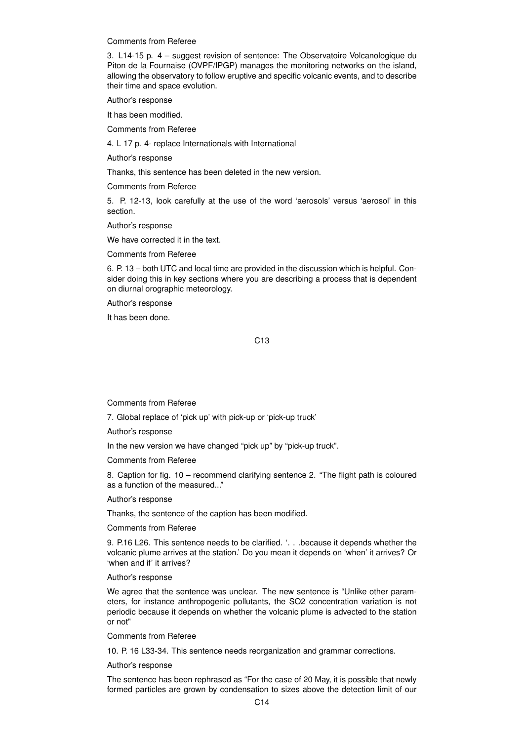Comments from Referee

3. L14-15 p. 4 – suggest revision of sentence: The Observatoire Volcanologique du Piton de la Fournaise (OVPF/IPGP) manages the monitoring networks on the island, allowing the observatory to follow eruptive and specific volcanic events, and to describe their time and space evolution.

Author's response

It has been modified.

Comments from Referee

4. L 17 p. 4- replace Internationals with International

Author's response

Thanks, this sentence has been deleted in the new version.

Comments from Referee

5. P. 12-13, look carefully at the use of the word 'aerosols' versus 'aerosol' in this section.

Author's response

We have corrected it in the text.

Comments from Referee

6. P. 13 – both UTC and local time are provided in the discussion which is helpful. Consider doing this in key sections where you are describing a process that is dependent on diurnal orographic meteorology.

Author's response

It has been done.

## C13

Comments from Referee

7. Global replace of 'pick up' with pick-up or 'pick-up truck'

Author's response

In the new version we have changed "pick up" by "pick-up truck".

Comments from Referee

8. Caption for fig. 10 – recommend clarifying sentence 2. "The flight path is coloured as a function of the measured..."

Author's response

Thanks, the sentence of the caption has been modified.

Comments from Referee

9. P.16 L26. This sentence needs to be clarified. '. . .because it depends whether the volcanic plume arrives at the station.' Do you mean it depends on 'when' it arrives? Or 'when and if' it arrives?

Author's response

We agree that the sentence was unclear. The new sentence is "Unlike other parameters, for instance anthropogenic pollutants, the SO2 concentration variation is not periodic because it depends on whether the volcanic plume is advected to the station or not"

Comments from Referee

10. P. 16 L33-34. This sentence needs reorganization and grammar corrections.

Author's response

The sentence has been rephrased as "For the case of 20 May, it is possible that newly formed particles are grown by condensation to sizes above the detection limit of our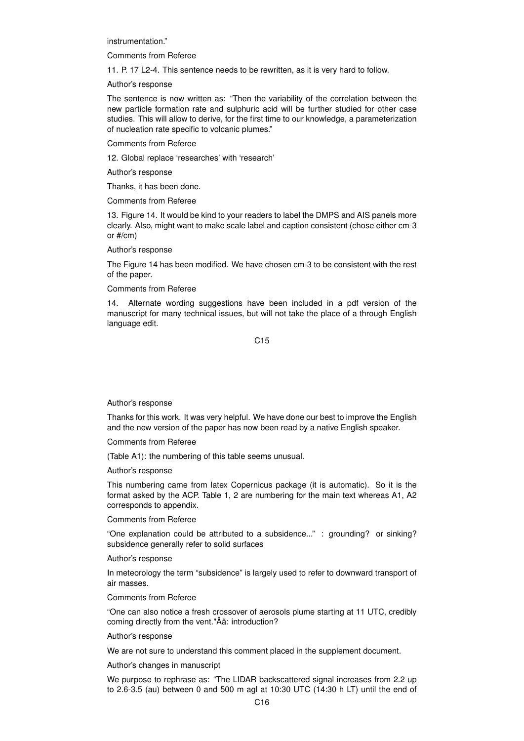instrumentation."

Comments from Referee

11. P. 17 L2-4. This sentence needs to be rewritten, as it is very hard to follow.

Author's response

The sentence is now written as: "Then the variability of the correlation between the new particle formation rate and sulphuric acid will be further studied for other case studies. This will allow to derive, for the first time to our knowledge, a parameterization of nucleation rate specific to volcanic plumes."

Comments from Referee

12. Global replace 'researches' with 'research'

Author's response

Thanks, it has been done.

Comments from Referee

13. Figure 14. It would be kind to your readers to label the DMPS and AIS panels more clearly. Also, might want to make scale label and caption consistent (chose either cm-3 or #/cm)

Author's response

The Figure 14 has been modified. We have chosen cm-3 to be consistent with the rest of the paper.

Comments from Referee

14. Alternate wording suggestions have been included in a pdf version of the manuscript for many technical issues, but will not take the place of a through English language edit.

C15

Author's response

Thanks for this work. It was very helpful. We have done our best to improve the English and the new version of the paper has now been read by a native English speaker.

Comments from Referee

(Table A1): the numbering of this table seems unusual.

Author's response

This numbering came from latex Copernicus package (it is automatic). So it is the format asked by the ACP. Table 1, 2 are numbering for the main text whereas A1, A2 corresponds to appendix.

Comments from Referee

"One explanation could be attributed to a subsidence..." : grounding? or sinking? subsidence generally refer to solid surfaces

Author's response

In meteorology the term "subsidence" is largely used to refer to downward transport of air masses.

Comments from Referee

"One can also notice a fresh crossover of aerosols plume starting at 11 UTC, credibly coming directly from the vent."Âă: introduction?

Author's response

We are not sure to understand this comment placed in the supplement document.

Author's changes in manuscript

We purpose to rephrase as: "The LIDAR backscattered signal increases from 2.2 up to 2.6-3.5 (au) between 0 and 500 m agl at 10:30 UTC (14:30 h LT) until the end of